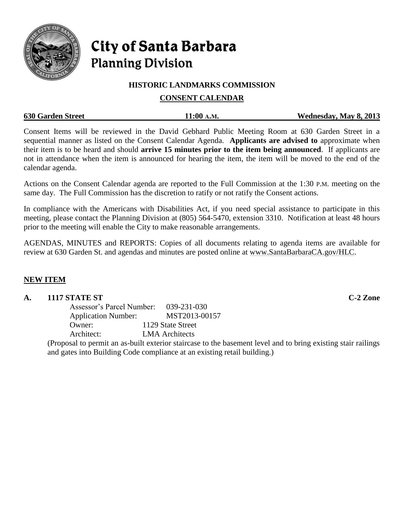

# City of Santa Barbara **Planning Division**

## **HISTORIC LANDMARKS COMMISSION**

# **CONSENT CALENDAR**

| <b>630 Garden Street</b> | 11:00 A.M. | Wednesday, May 8, 2013 |
|--------------------------|------------|------------------------|
|                          |            |                        |

Consent Items will be reviewed in the David Gebhard Public Meeting Room at 630 Garden Street in a sequential manner as listed on the Consent Calendar Agenda. **Applicants are advised to** approximate when their item is to be heard and should **arrive 15 minutes prior to the item being announced**. If applicants are not in attendance when the item is announced for hearing the item, the item will be moved to the end of the calendar agenda.

Actions on the Consent Calendar agenda are reported to the Full Commission at the 1:30 P.M. meeting on the same day. The Full Commission has the discretion to ratify or not ratify the Consent actions.

In compliance with the Americans with Disabilities Act, if you need special assistance to participate in this meeting, please contact the Planning Division at (805) 564-5470, extension 3310. Notification at least 48 hours prior to the meeting will enable the City to make reasonable arrangements.

AGENDAS, MINUTES and REPORTS: Copies of all documents relating to agenda items are available for review at 630 Garden St. and agendas and minutes are posted online at [www.SantaBarbaraCA.gov/HLC.](http://www.santabarbaraca.gov/HLC)

# **NEW ITEM**

# **A. 1117 STATE ST C-2 Zone**

Assessor's Parcel Number: 039-231-030 Application Number: MST2013-00157 Owner: 1129 State Street Architect: LMA Architects

(Proposal to permit an as-built exterior staircase to the basement level and to bring existing stair railings and gates into Building Code compliance at an existing retail building.)